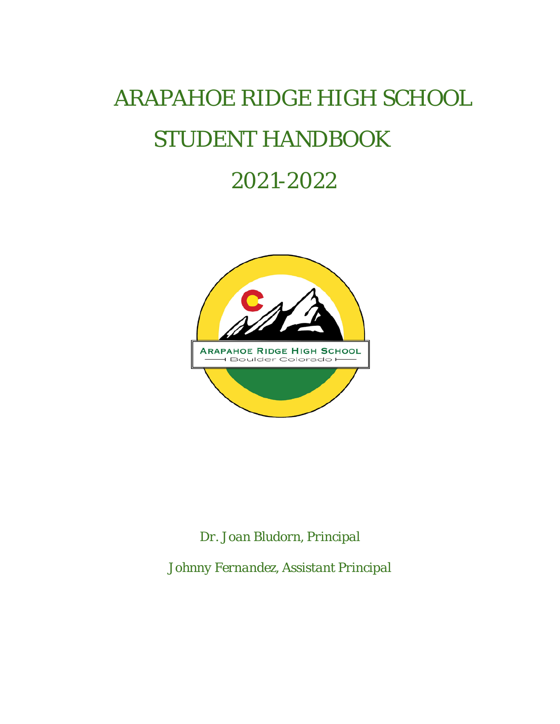# *ARAPAHOE RIDGE HIGH SCHOOL STUDENT HANDBOOK*

# *2021-2022*



*Dr. Joan Bludorn, Principal*

*Johnny Fernandez, Assistant Principal*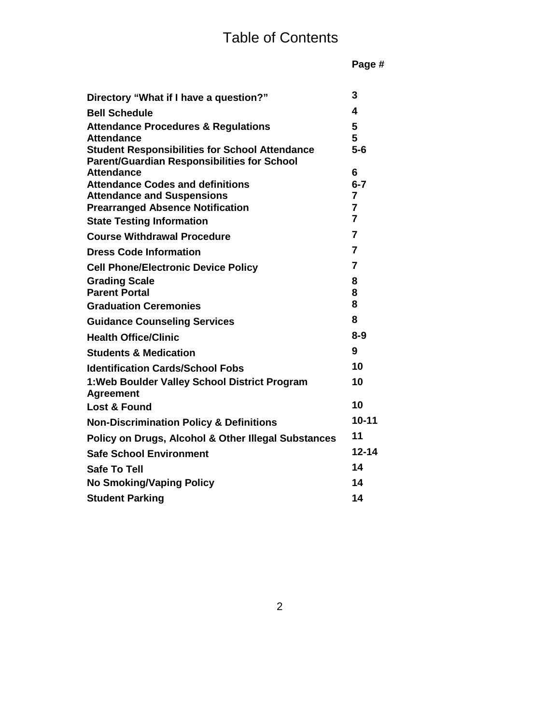| Directory "What if I have a question?"                            | 3              |
|-------------------------------------------------------------------|----------------|
| <b>Bell Schedule</b>                                              | 4              |
| <b>Attendance Procedures &amp; Regulations</b>                    | 5              |
| <b>Attendance</b>                                                 | 5              |
| <b>Student Responsibilities for School Attendance</b>             | $5-6$          |
| <b>Parent/Guardian Responsibilities for School</b>                |                |
| <b>Attendance</b><br><b>Attendance Codes and definitions</b>      | 6<br>$6 - 7$   |
| <b>Attendance and Suspensions</b>                                 | 7              |
| <b>Prearranged Absence Notification</b>                           | 7              |
| <b>State Testing Information</b>                                  | $\overline{7}$ |
| <b>Course Withdrawal Procedure</b>                                | 7              |
| <b>Dress Code Information</b>                                     | $\overline{7}$ |
| <b>Cell Phone/Electronic Device Policy</b>                        | $\overline{7}$ |
| <b>Grading Scale</b>                                              | 8              |
| <b>Parent Portal</b>                                              | 8              |
| <b>Graduation Ceremonies</b>                                      | 8              |
| <b>Guidance Counseling Services</b>                               | 8              |
| <b>Health Office/Clinic</b>                                       | $8 - 9$        |
| <b>Students &amp; Medication</b>                                  | 9              |
| <b>Identification Cards/School Fobs</b>                           | 10             |
| 1: Web Boulder Valley School District Program<br><b>Agreement</b> | 10             |
| Lost & Found                                                      | 10             |
| <b>Non-Discrimination Policy &amp; Definitions</b>                | $10 - 11$      |
| Policy on Drugs, Alcohol & Other Illegal Substances               | 11             |
| <b>Safe School Environment</b>                                    | 12-14          |
| <b>Safe To Tell</b>                                               | 14             |
| <b>No Smoking/Vaping Policy</b>                                   | 14             |
| <b>Student Parking</b>                                            | 14             |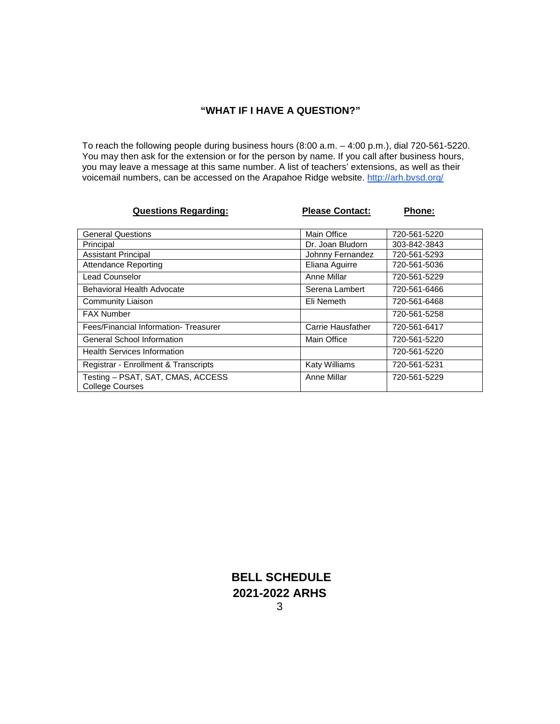# **"WHAT IF I HAVE A QUESTION?"**

To reach the following people during business hours (8:00 a.m. – 4:00 p.m.), dial 720-561-5220. You may then ask for the extension or for the person by name. If you call after business hours, you may leave a message at this same number. A list of teachers' extensions, as well as their voicemail numbers, can be accessed on the Arapahoe Ridge website.<http://arh.bvsd.org/>

| <b>Questions Regarding:</b>                                 | <b>Please Contact:</b> | <b>Phone:</b> |
|-------------------------------------------------------------|------------------------|---------------|
|                                                             |                        |               |
| <b>General Questions</b>                                    | Main Office            | 720-561-5220  |
| Principal                                                   | Dr. Joan Bludorn       | 303-842-3843  |
| <b>Assistant Principal</b>                                  | Johnny Fernandez       | 720-561-5293  |
| <b>Attendance Reporting</b>                                 | Eliana Aguirre         | 720-561-5036  |
| <b>Lead Counselor</b>                                       | Anne Millar            | 720-561-5229  |
| Behavioral Health Advocate                                  | Serena Lambert         | 720-561-6466  |
| Community Liaison                                           | Eli Nemeth             | 720-561-6468  |
| <b>FAX Number</b>                                           |                        | 720-561-5258  |
| Fees/Financial Information-Treasurer                        | Carrie Hausfather      | 720-561-6417  |
| <b>General School Information</b>                           | Main Office            | 720-561-5220  |
| <b>Health Services Information</b>                          |                        | 720-561-5220  |
| Registrar - Enrollment & Transcripts                        | <b>Katy Williams</b>   | 720-561-5231  |
| Testing - PSAT, SAT, CMAS, ACCESS<br><b>College Courses</b> | Anne Millar            | 720-561-5229  |

**BELL SCHEDULE 2021-2022 ARHS**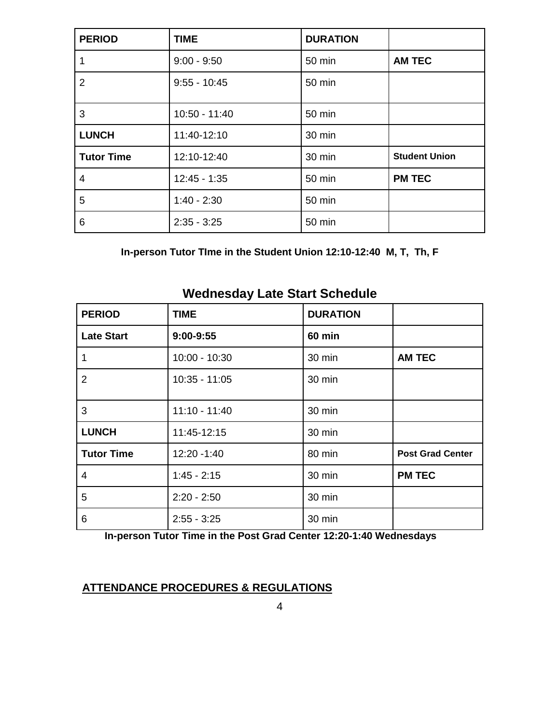| <b>PERIOD</b>     | <b>TIME</b>    | <b>DURATION</b> |                      |
|-------------------|----------------|-----------------|----------------------|
|                   | $9:00 - 9:50$  | 50 min          | <b>AM TEC</b>        |
| $\overline{2}$    | $9:55 - 10:45$ | 50 min          |                      |
| 3                 | 10:50 - 11:40  | 50 min          |                      |
| <b>LUNCH</b>      | 11:40-12:10    | 30 min          |                      |
| <b>Tutor Time</b> | 12:10-12:40    | 30 min          | <b>Student Union</b> |
| 4                 | $12:45 - 1:35$ | 50 min          | <b>PM TEC</b>        |
| 5                 | $1:40 - 2:30$  | 50 min          |                      |
| 6                 | $2:35 - 3:25$  | 50 min          |                      |

**In-person Tutor TIme in the Student Union 12:10-12:40 M, T, Th, F**

| <b>PERIOD</b>     | <b>TIME</b>     | <b>DURATION</b> |                         |
|-------------------|-----------------|-----------------|-------------------------|
| <b>Late Start</b> | $9:00-9:55$     | <b>60 min</b>   |                         |
|                   | $10:00 - 10:30$ | 30 min          | <b>AM TEC</b>           |
| $\overline{2}$    | $10:35 - 11:05$ | 30 min          |                         |
| 3                 | $11:10 - 11:40$ | 30 min          |                         |
| <b>LUNCH</b>      | 11:45-12:15     | 30 min          |                         |
| <b>Tutor Time</b> | 12:20 - 1:40    | 80 min          | <b>Post Grad Center</b> |
| 4                 | $1:45 - 2:15$   | 30 min          | <b>PM TEC</b>           |
| 5                 | $2:20 - 2:50$   | 30 min          |                         |
| 6                 | $2:55 - 3:25$   | 30 min          |                         |

# **Wednesday Late Start Schedule**

 **In-person Tutor Time in the Post Grad Center 12:20-1:40 Wednesdays**

# **ATTENDANCE PROCEDURES & REGULATIONS**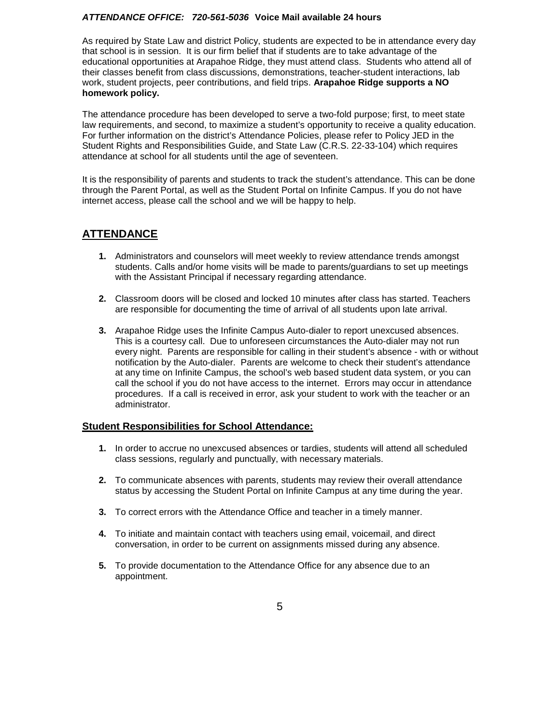#### *ATTENDANCE OFFICE: 720-561-5036* **Voice Mail available 24 hours**

As required by State Law and district Policy, students are expected to be in attendance every day that school is in session. It is our firm belief that if students are to take advantage of the educational opportunities at Arapahoe Ridge, they must attend class. Students who attend all of their classes benefit from class discussions, demonstrations, teacher-student interactions, lab work, student projects, peer contributions, and field trips. **Arapahoe Ridge supports a NO homework policy.**

The attendance procedure has been developed to serve a two-fold purpose; first, to meet state law requirements, and second, to maximize a student's opportunity to receive a quality education. For further information on the district's Attendance Policies, please refer to Policy JED in the Student Rights and Responsibilities Guide, and State Law (C.R.S. 22-33-104) which requires attendance at school for all students until the age of seventeen.

It is the responsibility of parents and students to track the student's attendance. This can be done through the Parent Portal, as well as the Student Portal on Infinite Campus. If you do not have internet access, please call the school and we will be happy to help.

# **ATTENDANCE**

- **1.** Administrators and counselors will meet weekly to review attendance trends amongst students. Calls and/or home visits will be made to parents/guardians to set up meetings with the Assistant Principal if necessary regarding attendance.
- **2.** Classroom doors will be closed and locked 10 minutes after class has started. Teachers are responsible for documenting the time of arrival of all students upon late arrival.
- **3.** Arapahoe Ridge uses the Infinite Campus Auto-dialer to report unexcused absences. This is a courtesy call. Due to unforeseen circumstances the Auto-dialer may not run every night. Parents are responsible for calling in their student's absence - with or without notification by the Auto-dialer. Parents are welcome to check their student's attendance at any time on Infinite Campus, the school's web based student data system, or you can call the school if you do not have access to the internet. Errors may occur in attendance procedures. If a call is received in error, ask your student to work with the teacher or an administrator.

#### **Student Responsibilities for School Attendance:**

- **1.** In order to accrue no unexcused absences or tardies, students will attend all scheduled class sessions, regularly and punctually, with necessary materials.
- **2.** To communicate absences with parents, students may review their overall attendance status by accessing the Student Portal on Infinite Campus at any time during the year.
- **3.** To correct errors with the Attendance Office and teacher in a timely manner.
- **4.** To initiate and maintain contact with teachers using email, voicemail, and direct conversation, in order to be current on assignments missed during any absence.
- **5.** To provide documentation to the Attendance Office for any absence due to an appointment.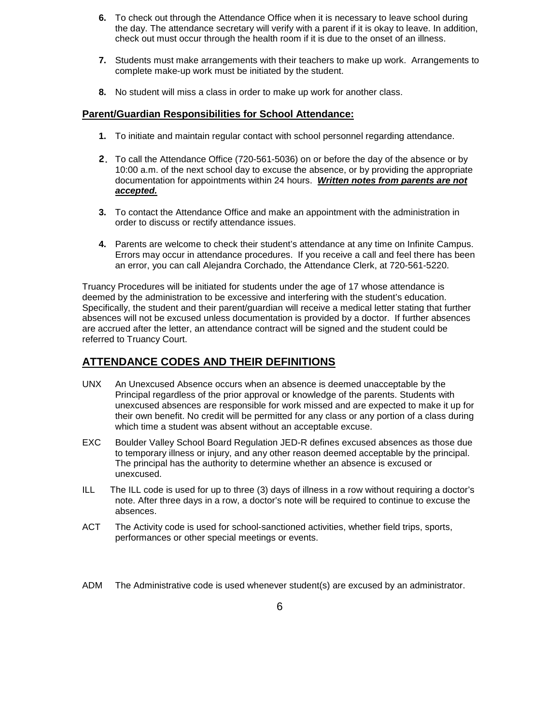- **6.** To check out through the Attendance Office when it is necessary to leave school during the day. The attendance secretary will verify with a parent if it is okay to leave. In addition, check out must occur through the health room if it is due to the onset of an illness.
- **7.** Students must make arrangements with their teachers to make up work. Arrangements to complete make-up work must be initiated by the student.
- **8.** No student will miss a class in order to make up work for another class.

#### **Parent/Guardian Responsibilities for School Attendance:**

- **1.** To initiate and maintain regular contact with school personnel regarding attendance.
- **2.** To call the Attendance Office (720-561-5036) on or before the day of the absence or by 10:00 a.m. of the next school day to excuse the absence, or by providing the appropriate documentation for appointments within 24 hours. *Written notes from parents are not accepted.*
- **3.** To contact the Attendance Office and make an appointment with the administration in order to discuss or rectify attendance issues.
- **4.** Parents are welcome to check their student's attendance at any time on Infinite Campus. Errors may occur in attendance procedures. If you receive a call and feel there has been an error, you can call Alejandra Corchado, the Attendance Clerk, at 720-561-5220.

Truancy Procedures will be initiated for students under the age of 17 whose attendance is deemed by the administration to be excessive and interfering with the student's education. Specifically, the student and their parent/guardian will receive a medical letter stating that further absences will not be excused unless documentation is provided by a doctor. If further absences are accrued after the letter, an attendance contract will be signed and the student could be referred to Truancy Court.

# **ATTENDANCE CODES AND THEIR DEFINITIONS**

- UNX An Unexcused Absence occurs when an absence is deemed unacceptable by the Principal regardless of the prior approval or knowledge of the parents. Students with unexcused absences are responsible for work missed and are expected to make it up for their own benefit. No credit will be permitted for any class or any portion of a class during which time a student was absent without an acceptable excuse.
- EXC Boulder Valley School Board Regulation JED-R defines excused absences as those due to temporary illness or injury, and any other reason deemed acceptable by the principal. The principal has the authority to determine whether an absence is excused or unexcused.
- ILL The ILL code is used for up to three (3) days of illness in a row without requiring a doctor's note. After three days in a row, a doctor's note will be required to continue to excuse the absences.
- ACT The Activity code is used for school-sanctioned activities, whether field trips, sports, performances or other special meetings or events.

ADM The Administrative code is used whenever student(s) are excused by an administrator.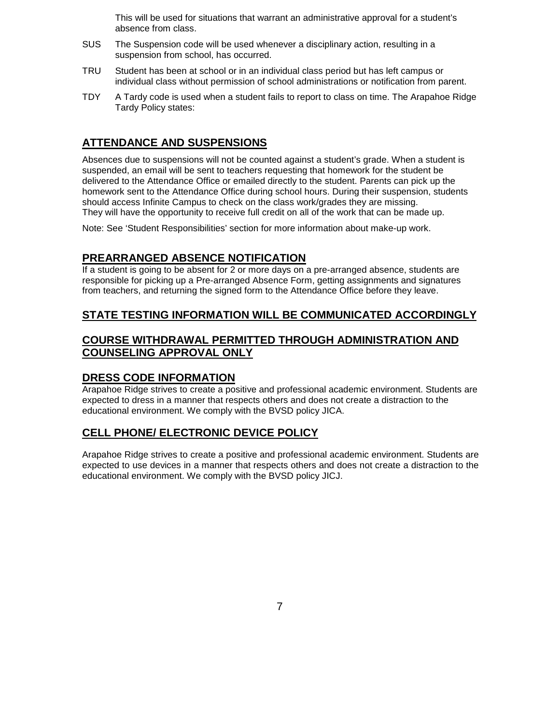This will be used for situations that warrant an administrative approval for a student's absence from class.

- SUS The Suspension code will be used whenever a disciplinary action, resulting in a suspension from school, has occurred.
- TRU Student has been at school or in an individual class period but has left campus or individual class without permission of school administrations or notification from parent.
- TDY A Tardy code is used when a student fails to report to class on time. The Arapahoe Ridge Tardy Policy states:

# **ATTENDANCE AND SUSPENSIONS**

Absences due to suspensions will not be counted against a student's grade. When a student is suspended, an email will be sent to teachers requesting that homework for the student be delivered to the Attendance Office or emailed directly to the student. Parents can pick up the homework sent to the Attendance Office during school hours. During their suspension, students should access Infinite Campus to check on the class work/grades they are missing. They will have the opportunity to receive full credit on all of the work that can be made up.

Note: See 'Student Responsibilities' section for more information about make-up work.

# **PREARRANGED ABSENCE NOTIFICATION**

If a student is going to be absent for 2 or more days on a pre-arranged absence, students are responsible for picking up a Pre-arranged Absence Form, getting assignments and signatures from teachers, and returning the signed form to the Attendance Office before they leave.

#### **STATE TESTING INFORMATION WILL BE COMMUNICATED ACCORDINGLY**

# **COURSE WITHDRAWAL PERMITTED THROUGH ADMINISTRATION AND COUNSELING APPROVAL ONLY**

#### **DRESS CODE INFORMATION**

Arapahoe Ridge strives to create a positive and professional academic environment. Students are expected to dress in a manner that respects others and does not create a distraction to the educational environment. We comply with the BVSD policy JICA.

#### **CELL PHONE/ ELECTRONIC DEVICE POLICY**

Arapahoe Ridge strives to create a positive and professional academic environment. Students are expected to use devices in a manner that respects others and does not create a distraction to the educational environment. We comply with the BVSD policy JICJ.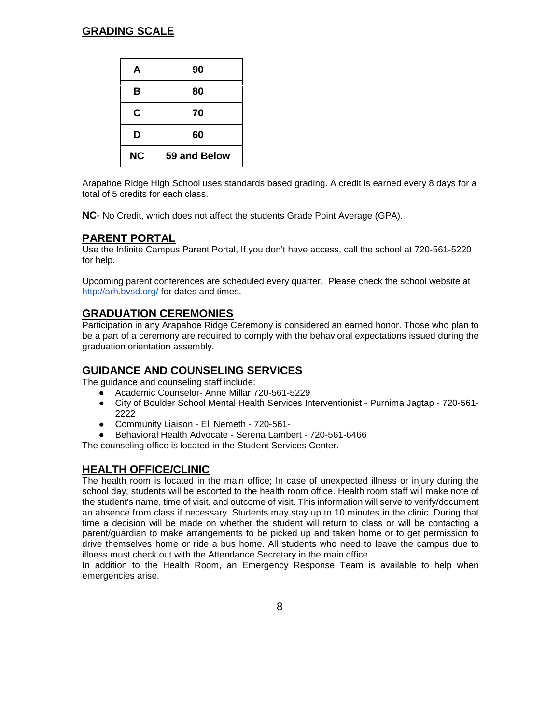# **GRADING SCALE**

| A         | 90           |
|-----------|--------------|
| B         | 80           |
| C         | 70           |
| D         | 60           |
| <b>NC</b> | 59 and Below |

Arapahoe Ridge High School uses standards based grading. A credit is earned every 8 days for a total of 5 credits for each class.

**NC**- No Credit, which does not affect the students Grade Point Average (GPA).

#### **PARENT PORTAL**

Use the Infinite Campus Parent Portal, If you don't have access, call the school at 720-561-5220 for help.

Upcoming parent conferences are scheduled every quarter. Please check the school website at <http://arh.bvsd.org/> for dates and times.

#### **GRADUATION CEREMONIES**

Participation in any Arapahoe Ridge Ceremony is considered an earned honor. Those who plan to be a part of a ceremony are required to comply with the behavioral expectations issued during the graduation orientation assembly.

#### **GUIDANCE AND COUNSELING SERVICES**

The guidance and counseling staff include:

- Academic Counselor- Anne Millar 720-561-5229
- City of Boulder School Mental Health Services Interventionist Purnima Jagtap 720-561- 2222
- Community Liaison Eli Nemeth 720-561-
- Behavioral Health Advocate Serena Lambert 720-561-6466

The counseling office is located in the Student Services Center.

#### **HEALTH OFFICE/CLINIC**

The health room is located in the main office; In case of unexpected illness or injury during the school day, students will be escorted to the health room office. Health room staff will make note of the student's name, time of visit, and outcome of visit. This information will serve to verify/document an absence from class if necessary. Students may stay up to 10 minutes in the clinic. During that time a decision will be made on whether the student will return to class or will be contacting a parent/guardian to make arrangements to be picked up and taken home or to get permission to drive themselves home or ride a bus home. All students who need to leave the campus due to illness must check out with the Attendance Secretary in the main office.

In addition to the Health Room, an Emergency Response Team is available to help when emergencies arise.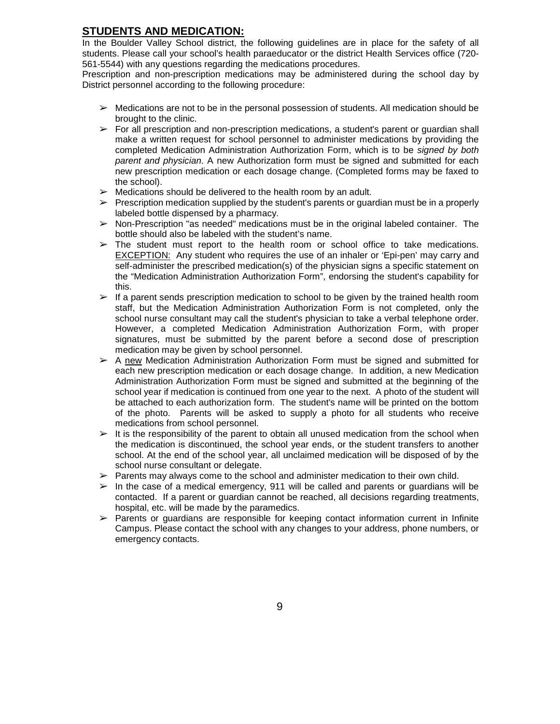# **STUDENTS AND MEDICATION:**

In the Boulder Valley School district, the following guidelines are in place for the safety of all students. Please call your school's health paraeducator or the district Health Services office (720- 561-5544) with any questions regarding the medications procedures.

Prescription and non-prescription medications may be administered during the school day by District personnel according to the following procedure:

- $\triangleright$  Medications are not to be in the personal possession of students. All medication should be brought to the clinic.
- $\triangleright$  For all prescription and non-prescription medications, a student's parent or guardian shall make a written request for school personnel to administer medications by providing the completed Medication Administration Authorization Form, which is to be *signed by both parent and physician*. A new Authorization form must be signed and submitted for each new prescription medication or each dosage change. (Completed forms may be faxed to the school).
- $\triangleright$  Medications should be delivered to the health room by an adult.
- $\triangleright$  Prescription medication supplied by the student's parents or guardian must be in a properly labeled bottle dispensed by a pharmacy.
- $\triangleright$  Non-Prescription "as needed" medications must be in the original labeled container. The bottle should also be labeled with the student's name.
- $\triangleright$  The student must report to the health room or school office to take medications. EXCEPTION: Any student who requires the use of an inhaler or 'Epi-pen' may carry and self-administer the prescribed medication(s) of the physician signs a specific statement on the "Medication Administration Authorization Form", endorsing the student's capability for this.
- $\triangleright$  If a parent sends prescription medication to school to be given by the trained health room staff, but the Medication Administration Authorization Form is not completed, only the school nurse consultant may call the student's physician to take a verbal telephone order. However, a completed Medication Administration Authorization Form, with proper signatures, must be submitted by the parent before a second dose of prescription medication may be given by school personnel.
- $\triangleright$  A new Medication Administration Authorization Form must be signed and submitted for each new prescription medication or each dosage change. In addition, a new Medication Administration Authorization Form must be signed and submitted at the beginning of the school year if medication is continued from one year to the next. A photo of the student will be attached to each authorization form. The student's name will be printed on the bottom of the photo. Parents will be asked to supply a photo for all students who receive medications from school personnel.
- $\triangleright$  It is the responsibility of the parent to obtain all unused medication from the school when the medication is discontinued, the school year ends, or the student transfers to another school. At the end of the school year, all unclaimed medication will be disposed of by the school nurse consultant or delegate.
- $\triangleright$  Parents may always come to the school and administer medication to their own child.
- $\triangleright$  In the case of a medical emergency, 911 will be called and parents or guardians will be contacted. If a parent or guardian cannot be reached, all decisions regarding treatments, hospital, etc. will be made by the paramedics.
- $\triangleright$  Parents or guardians are responsible for keeping contact information current in Infinite Campus. Please contact the school with any changes to your address, phone numbers, or emergency contacts.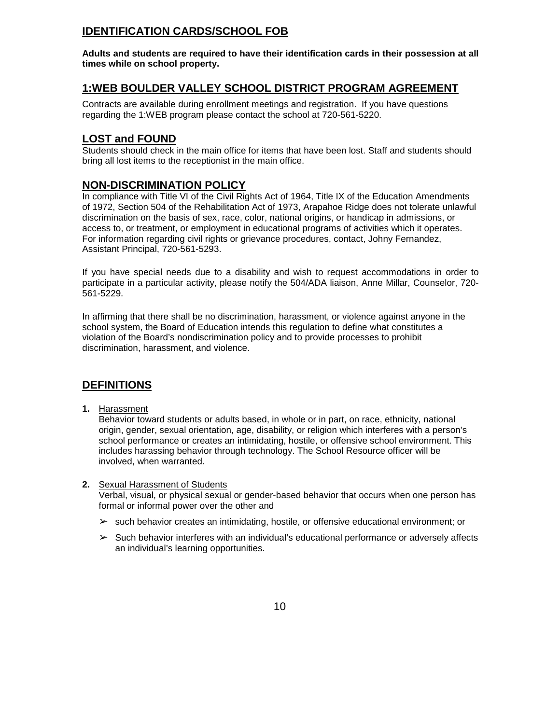# **IDENTIFICATION CARDS/SCHOOL FOB**

**Adults and students are required to have their identification cards in their possession at all times while on school property.**

# **1:WEB BOULDER VALLEY SCHOOL DISTRICT PROGRAM AGREEMENT**

Contracts are available during enrollment meetings and registration. If you have questions regarding the 1:WEB program please contact the school at 720-561-5220.

# **LOST and FOUND**

Students should check in the main office for items that have been lost. Staff and students should bring all lost items to the receptionist in the main office.

# **NON-DISCRIMINATION POLICY**

In compliance with Title VI of the Civil Rights Act of 1964, Title IX of the Education Amendments of 1972, Section 504 of the Rehabilitation Act of 1973, Arapahoe Ridge does not tolerate unlawful discrimination on the basis of sex, race, color, national origins, or handicap in admissions, or access to, or treatment, or employment in educational programs of activities which it operates. For information regarding civil rights or grievance procedures, contact, Johny Fernandez, Assistant Principal, 720-561-5293.

If you have special needs due to a disability and wish to request accommodations in order to participate in a particular activity, please notify the 504/ADA liaison, Anne Millar, Counselor, 720- 561-5229.

In affirming that there shall be no discrimination, harassment, or violence against anyone in the school system, the Board of Education intends this regulation to define what constitutes a violation of the Board's nondiscrimination policy and to provide processes to prohibit discrimination, harassment, and violence.

# **DEFINITIONS**

**1.** Harassment

Behavior toward students or adults based, in whole or in part, on race, ethnicity, national origin, gender, sexual orientation, age, disability, or religion which interferes with a person's school performance or creates an intimidating, hostile, or offensive school environment. This includes harassing behavior through technology. The School Resource officer will be involved, when warranted.

#### **2.** Sexual Harassment of Students

Verbal, visual, or physical sexual or gender-based behavior that occurs when one person has formal or informal power over the other and

- $\triangleright$  such behavior creates an intimidating, hostile, or offensive educational environment; or
- $\triangleright$  Such behavior interferes with an individual's educational performance or adversely affects an individual's learning opportunities.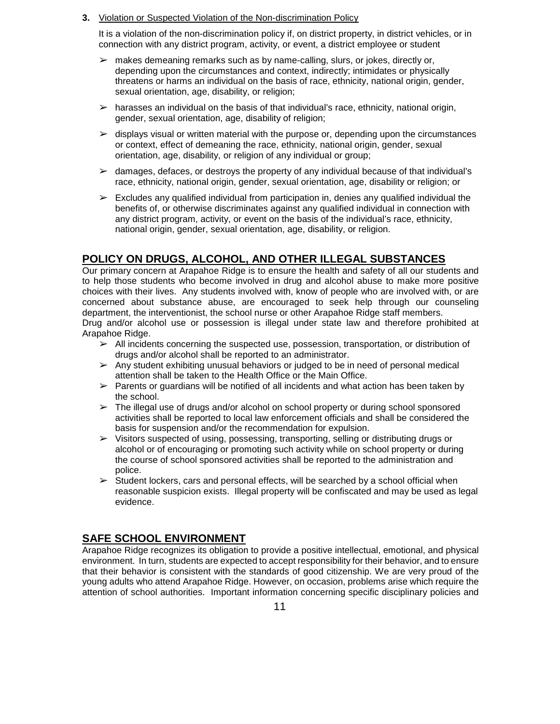**3.** Violation or Suspected Violation of the Non-discrimination Policy

It is a violation of the non-discrimination policy if, on district property, in district vehicles, or in connection with any district program, activity, or event, a district employee or student

- $\triangleright$  makes demeaning remarks such as by name-calling, slurs, or jokes, directly or, depending upon the circumstances and context, indirectly; intimidates or physically threatens or harms an individual on the basis of race, ethnicity, national origin, gender, sexual orientation, age, disability, or religion;
- $\triangleright$  harasses an individual on the basis of that individual's race, ethnicity, national origin, gender, sexual orientation, age, disability of religion;
- $\triangleright$  displays visual or written material with the purpose or, depending upon the circumstances or context, effect of demeaning the race, ethnicity, national origin, gender, sexual orientation, age, disability, or religion of any individual or group;
- $\geq$  damages, defaces, or destroys the property of any individual because of that individual's race, ethnicity, national origin, gender, sexual orientation, age, disability or religion; or
- $\triangleright$  Excludes any qualified individual from participation in, denies any qualified individual the benefits of, or otherwise discriminates against any qualified individual in connection with any district program, activity, or event on the basis of the individual's race, ethnicity, national origin, gender, sexual orientation, age, disability, or religion.

# **POLICY ON DRUGS, ALCOHOL, AND OTHER ILLEGAL SUBSTANCES**

Our primary concern at Arapahoe Ridge is to ensure the health and safety of all our students and to help those students who become involved in drug and alcohol abuse to make more positive choices with their lives. Any students involved with, know of people who are involved with, or are concerned about substance abuse, are encouraged to seek help through our counseling department, the interventionist, the school nurse or other Arapahoe Ridge staff members. Drug and/or alcohol use or possession is illegal under state law and therefore prohibited at Arapahoe Ridge.

- $\triangleright$  All incidents concerning the suspected use, possession, transportation, or distribution of drugs and/or alcohol shall be reported to an administrator.
- $\triangleright$  Any student exhibiting unusual behaviors or judged to be in need of personal medical attention shall be taken to the Health Office or the Main Office.
- $\triangleright$  Parents or guardians will be notified of all incidents and what action has been taken by the school.
- $\triangleright$  The illegal use of drugs and/or alcohol on school property or during school sponsored activities shall be reported to local law enforcement officials and shall be considered the basis for suspension and/or the recommendation for expulsion.
- $\triangleright$  Visitors suspected of using, possessing, transporting, selling or distributing drugs or alcohol or of encouraging or promoting such activity while on school property or during the course of school sponsored activities shall be reported to the administration and police.
- $\triangleright$  Student lockers, cars and personal effects, will be searched by a school official when reasonable suspicion exists. Illegal property will be confiscated and may be used as legal evidence.

# **SAFE SCHOOL ENVIRONMENT**

Arapahoe Ridge recognizes its obligation to provide a positive intellectual, emotional, and physical environment. In turn, students are expected to accept responsibility for their behavior, and to ensure that their behavior is consistent with the standards of good citizenship. We are very proud of the young adults who attend Arapahoe Ridge. However, on occasion, problems arise which require the attention of school authorities. Important information concerning specific disciplinary policies and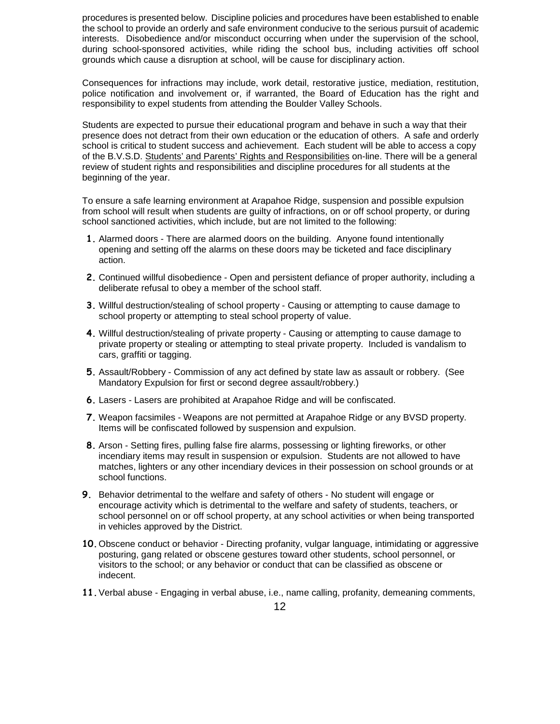procedures is presented below. Discipline policies and procedures have been established to enable the school to provide an orderly and safe environment conducive to the serious pursuit of academic interests. Disobedience and/or misconduct occurring when under the supervision of the school, during school-sponsored activities, while riding the school bus, including activities off school grounds which cause a disruption at school, will be cause for disciplinary action.

Consequences for infractions may include, work detail, restorative justice, mediation, restitution, police notification and involvement or, if warranted, the Board of Education has the right and responsibility to expel students from attending the Boulder Valley Schools.

Students are expected to pursue their educational program and behave in such a way that their presence does not detract from their own education or the education of others. A safe and orderly school is critical to student success and achievement. Each student will be able to access a copy of the B.V.S.D. Students' and Parents' Rights and Responsibilities on-line. There will be a general review of student rights and responsibilities and discipline procedures for all students at the beginning of the year.

To ensure a safe learning environment at Arapahoe Ridge, suspension and possible expulsion from school will result when students are guilty of infractions, on or off school property, or during school sanctioned activities, which include, but are not limited to the following:

- **1.** Alarmed doors There are alarmed doors on the building. Anyone found intentionally opening and setting off the alarms on these doors may be ticketed and face disciplinary action.
- **2.** Continued willful disobedience Open and persistent defiance of proper authority, including a deliberate refusal to obey a member of the school staff.
- **3.** Willful destruction/stealing of school property Causing or attempting to cause damage to school property or attempting to steal school property of value.
- **4.** Willful destruction/stealing of private property Causing or attempting to cause damage to private property or stealing or attempting to steal private property. Included is vandalism to cars, graffiti or tagging.
- **5.** Assault/Robbery Commission of any act defined by state law as assault or robbery. (See Mandatory Expulsion for first or second degree assault/robbery.)
- **6.** Lasers Lasers are prohibited at Arapahoe Ridge and will be confiscated.
- **7.** Weapon facsimiles Weapons are not permitted at Arapahoe Ridge or any BVSD property. Items will be confiscated followed by suspension and expulsion.
- **8.** Arson Setting fires, pulling false fire alarms, possessing or lighting fireworks, or other incendiary items may result in suspension or expulsion. Students are not allowed to have matches, lighters or any other incendiary devices in their possession on school grounds or at school functions.
- **9.** Behavior detrimental to the welfare and safety of others No student will engage or encourage activity which is detrimental to the welfare and safety of students, teachers, or school personnel on or off school property, at any school activities or when being transported in vehicles approved by the District.
- **10.**Obscene conduct or behavior Directing profanity, vulgar language, intimidating or aggressive posturing, gang related or obscene gestures toward other students, school personnel, or visitors to the school; or any behavior or conduct that can be classified as obscene or indecent.
- **11.**Verbal abuse Engaging in verbal abuse, i.e., name calling, profanity, demeaning comments,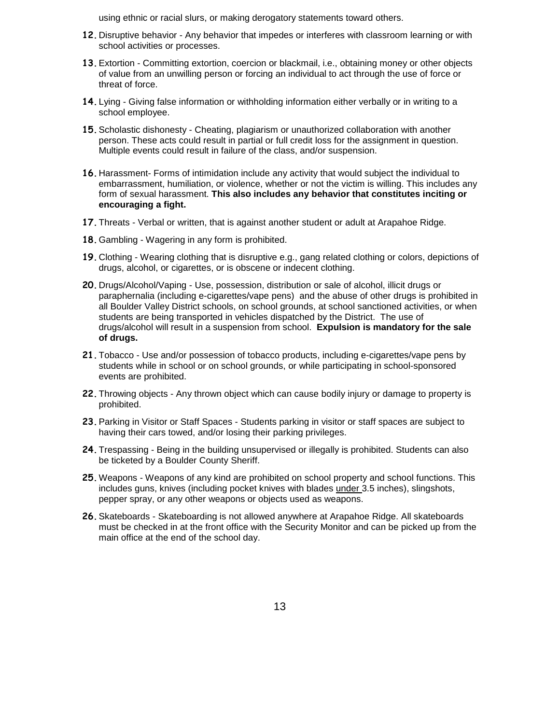using ethnic or racial slurs, or making derogatory statements toward others.

- **12.** Disruptive behavior Any behavior that impedes or interferes with classroom learning or with school activities or processes.
- **13.**Extortion Committing extortion, coercion or blackmail, i.e., obtaining money or other objects of value from an unwilling person or forcing an individual to act through the use of force or threat of force.
- **14.** Lying Giving false information or withholding information either verbally or in writing to a school employee.
- **15.**Scholastic dishonesty Cheating, plagiarism or unauthorized collaboration with another person. These acts could result in partial or full credit loss for the assignment in question. Multiple events could result in failure of the class, and/or suspension.
- **16.** Harassment- Forms of intimidation include any activity that would subject the individual to embarrassment, humiliation, or violence, whether or not the victim is willing. This includes any form of sexual harassment. **This also includes any behavior that constitutes inciting or encouraging a fight.**
- **17.**Threats Verbal or written, that is against another student or adult at Arapahoe Ridge.
- **18.**Gambling Wagering in any form is prohibited.
- **19.** Clothing Wearing clothing that is disruptive e.g., gang related clothing or colors, depictions of drugs, alcohol, or cigarettes, or is obscene or indecent clothing.
- **20.** Drugs/Alcohol/Vaping Use, possession, distribution or sale of alcohol, illicit drugs or paraphernalia (including e-cigarettes/vape pens) and the abuse of other drugs is prohibited in all Boulder Valley District schools, on school grounds, at school sanctioned activities, or when students are being transported in vehicles dispatched by the District. The use of drugs/alcohol will result in a suspension from school. **Expulsion is mandatory for the sale of drugs.**
- **21.**Tobacco Use and/or possession of tobacco products, including e-cigarettes/vape pens by students while in school or on school grounds, or while participating in school-sponsored events are prohibited.
- **22.**Throwing objects Any thrown object which can cause bodily injury or damage to property is prohibited.
- **23.**Parking in Visitor or Staff Spaces Students parking in visitor or staff spaces are subject to having their cars towed, and/or losing their parking privileges.
- **24.**Trespassing Being in the building unsupervised or illegally is prohibited. Students can also be ticketed by a Boulder County Sheriff.
- **25.**Weapons Weapons of any kind are prohibited on school property and school functions. This includes guns, knives (including pocket knives with blades under 3.5 inches), slingshots, pepper spray, or any other weapons or objects used as weapons.
- **26.**Skateboards Skateboarding is not allowed anywhere at Arapahoe Ridge. All skateboards must be checked in at the front office with the Security Monitor and can be picked up from the main office at the end of the school day.